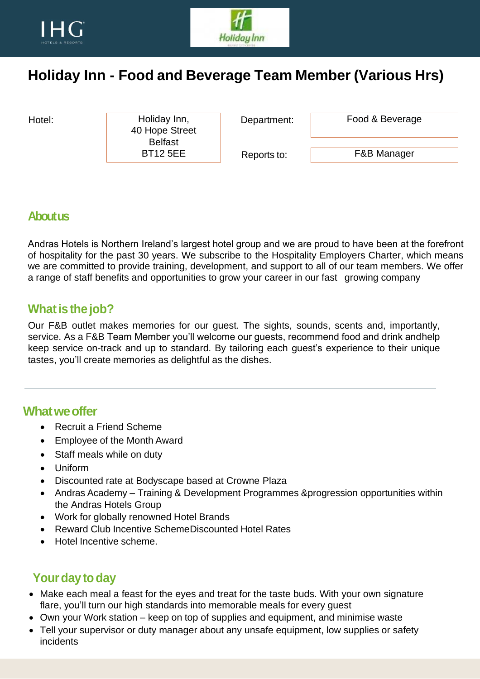



# **Holiday Inn - Food and Beverage Team Member (Various Hrs)**

Hotel: Holiday Inn, Department: 40 Hope Street Belfast BT12 5EE

Food & Beverage

Reports to:

F&B Manager

#### **About us**

Andras Hotels is Northern Ireland's largest hotel group and we are proud to have been at the forefront of hospitality for the past 30 years. We subscribe to the Hospitality Employers Charter, which means we are committed to provide training, development, and support to all of our team members. We offer a range of staff benefits and opportunities to grow your career in our fast growing company

#### **What is the job?**

Our F&B outlet makes memories for our guest. The sights, sounds, scents and, importantly, service. As a F&B Team Member you'll welcome our guests, recommend food and drink andhelp keep service on-track and up to standard. By tailoring each guest's experience to their unique tastes, you'll create memories as delightful as the dishes.

#### **Whatweoffer**

- Recruit a Friend Scheme
- Employee of the Month Award
- Staff meals while on duty
- Uniform
- Discounted rate at Bodyscape based at Crowne Plaza
- Andras Academy Training & Development Programmes &progression opportunities within the Andras Hotels Group
- Work for globally renowned Hotel Brands
- Reward Club Incentive SchemeDiscounted Hotel Rates
- Hotel Incentive scheme.

### **Your day to day**

- Make each meal a feast for the eyes and treat for the taste buds. With your own signature flare, you'll turn our high standards into memorable meals for every guest
- Own your Work station keep on top of supplies and equipment, and minimise waste
- Tell your supervisor or duty manager about any unsafe equipment, low supplies or safety incidents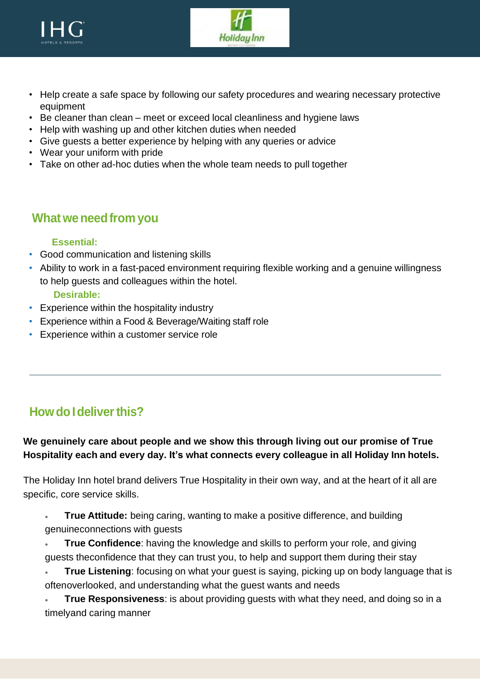



- Help create a safe space by following our safety procedures and wearing necessary protective equipment
- Be cleaner than clean meet or exceed local cleanliness and hygiene laws
- Help with washing up and other kitchen duties when needed
- Give guests a better experience by helping with any queries or advice
- Wear your uniform with pride
- Take on other ad-hoc duties when the whole team needs to pull together

### **Whatweneedfrom you**

#### **Essential:**

- Good communication and listening skills
- Ability to work in a fast-paced environment requiring flexible working and a genuine willingness to help guests and colleagues within the hotel.

**Desirable:**

- Experience within the hospitality industry
- Experience within a Food & Beverage/Waiting staff role
- Experience within a customer service role

## **How do I deliver this?**

**We genuinely care about people and we show this through living out our promise of True Hospitality each and every day. It's what connects every colleague in all Holiday Inn hotels.**

The Holiday Inn hotel brand delivers True Hospitality in their own way, and at the heart of it all are specific, core service skills.

- **True Attitude:** being caring, wanting to make a positive difference, and building genuineconnections with guests
- **True Confidence**: having the knowledge and skills to perform your role, and giving guests theconfidence that they can trust you, to help and support them during their stay
- **True Listening**: focusing on what your guest is saying, picking up on body language that is oftenoverlooked, and understanding what the guest wants and needs

• **True Responsiveness**: is about providing guests with what they need, and doing so in a timelyand caring manner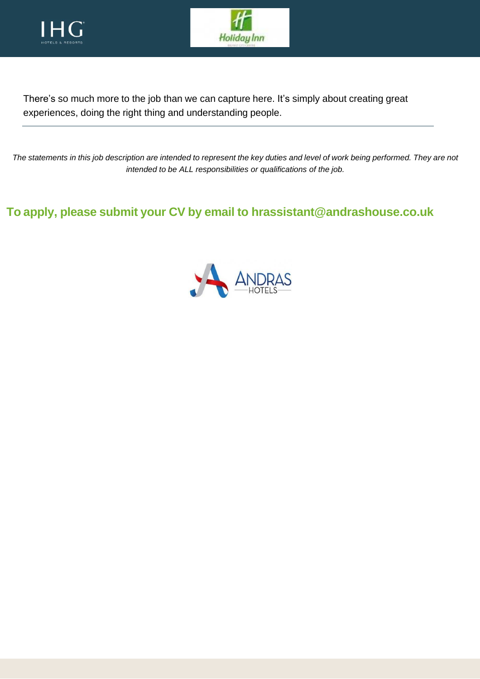



There's so much more to the job than we can capture here. It's simply about creating great experiences, doing the right thing and understanding people.

The statements in this job description are intended to represent the key duties and level of work being performed. They are not *intended to be ALL responsibilities or qualifications of the job.*

**To apply, please submit your CV by email to hrassistant@andrashouse.co.uk**